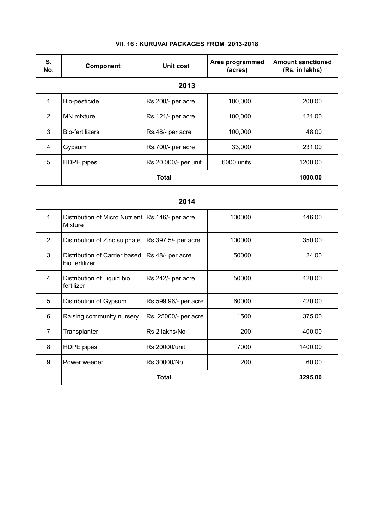| S.<br>No.      | <b>Component</b>  | Unit cost            | Area programmed<br>(acres) | <b>Amount sanctioned</b><br>(Rs. in lakhs) |
|----------------|-------------------|----------------------|----------------------------|--------------------------------------------|
|                |                   | 2013                 |                            |                                            |
| $\mathbf 1$    | Bio-pesticide     | Rs.200/- per acre    | 100,000                    | 200.00                                     |
| $\overline{2}$ | <b>MN</b> mixture | Rs.121/- per acre    | 100,000                    | 121.00                                     |
| 3              | Bio-fertilizers   | Rs.48/- per acre     | 100,000                    | 48.00                                      |
| 4              | Gypsum            | Rs.700/- per acre    | 33,000                     | 231.00                                     |
| 5              | <b>HDPE</b> pipes | Rs.20,000/- per unit | 6000 units                 | 1200.00                                    |
|                |                   | Total                |                            | 1800.00                                    |

## **VII. 16 : KURUVAI PACKAGES FROM 2013-2018**

# **2014**

| 1              | Distribution of Micro Nutrient   Rs 146/- per acre<br>Mixture |                      | 100000 | 146.00  |
|----------------|---------------------------------------------------------------|----------------------|--------|---------|
| $\overline{2}$ | Distribution of Zinc sulphate                                 | Rs 397.5/- per acre  | 100000 | 350.00  |
| 3              | Distribution of Carrier based<br>bio fertilizer               | Rs 48/- per acre     | 50000  | 24.00   |
| $\overline{4}$ | Distribution of Liquid bio<br>fertilizer                      | Rs 242/- per acre    | 50000  | 120.00  |
| 5              | Distribution of Gypsum                                        | Rs 599.96/- per acre | 60000  | 420.00  |
| 6              | Raising community nursery                                     | Rs. 25000/- per acre | 1500   | 375.00  |
| $\overline{7}$ | Transplanter                                                  | Rs 2 lakhs/No        | 200    | 400.00  |
| 8              | <b>HDPE</b> pipes                                             | <b>Rs 20000/unit</b> | 7000   | 1400.00 |
| 9              | Power weeder                                                  | Rs 30000/No          | 200    | 60.00   |
|                |                                                               | Total                |        | 3295.00 |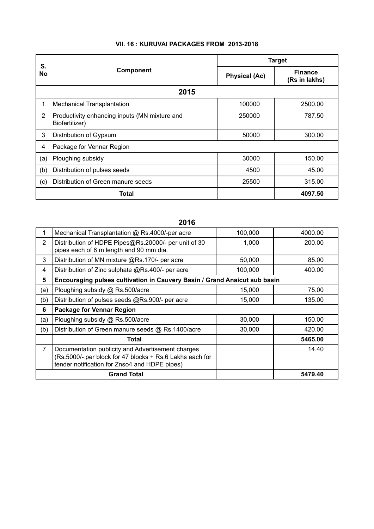|          |                                                                 |                      | <b>Target</b>                   |
|----------|-----------------------------------------------------------------|----------------------|---------------------------------|
| S.<br>No | Component                                                       | <b>Physical (Ac)</b> | <b>Finance</b><br>(Rs in lakhs) |
|          | 2015                                                            |                      |                                 |
| 1        | <b>Mechanical Transplantation</b>                               | 100000               | 2500.00                         |
| 2        | Productivity enhancing inputs (MN mixture and<br>Biofertilizer) | 250000               | 787.50                          |
| 3        | Distribution of Gypsum                                          | 50000                | 300.00                          |
| 4        | Package for Vennar Region                                       |                      |                                 |
| (a)      | Ploughing subsidy                                               | 30000                | 150.00                          |
| (b)      | Distribution of pulses seeds                                    | 4500                 | 45.00                           |
| (c)      | Distribution of Green manure seeds                              | 25500                | 315.00                          |
|          | <b>Total</b>                                                    |                      | 4097.50                         |

## **VII. 16 : KURUVAI PACKAGES FROM 2013-2018**

# **2016**

|                | Mechanical Transplantation @ Rs.4000/-per acre                                                                                                                 | 100,000 | 4000.00 |
|----------------|----------------------------------------------------------------------------------------------------------------------------------------------------------------|---------|---------|
| $\overline{2}$ | Distribution of HDPE Pipes@Rs.20000/- per unit of 30<br>pipes each of 6 m length and 90 mm dia.                                                                | 1,000   | 200.00  |
| 3              | Distribution of MN mixture @Rs.170/- per acre                                                                                                                  | 50,000  | 85.00   |
| 4              | Distribution of Zinc sulphate @Rs.400/- per acre                                                                                                               | 100,000 | 400.00  |
| 5              | Encouraging pulses cultivation in Cauvery Basin / Grand Anaicut sub basin                                                                                      |         |         |
| (a)            | Ploughing subsidy @ Rs.500/acre                                                                                                                                | 15,000  | 75.00   |
| (b)            | Distribution of pulses seeds @Rs.900/- per acre                                                                                                                | 15,000  | 135.00  |
| 6              | <b>Package for Vennar Region</b>                                                                                                                               |         |         |
| (a)            | Ploughing subsidy @ Rs.500/acre                                                                                                                                | 30,000  | 150.00  |
| (b)            | Distribution of Green manure seeds @ Rs.1400/acre                                                                                                              | 30,000  | 420.00  |
|                | Total                                                                                                                                                          |         | 5465.00 |
| 7              | Documentation publicity and Advertisement charges<br>(Rs.5000/- per block for 47 blocks + Rs.6 Lakhs each for<br>tender notification for Znso4 and HDPE pipes) |         | 14.40   |
|                | <b>Grand Total</b>                                                                                                                                             |         | 5479.40 |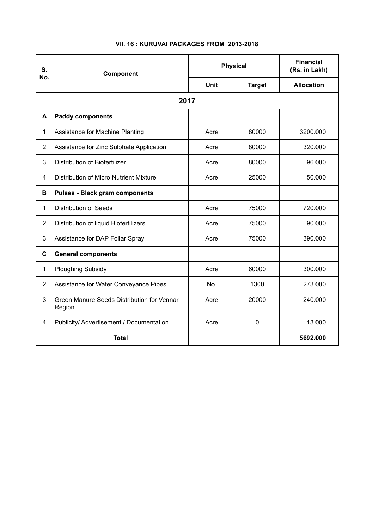| S.<br>No.      | Component                                            | <b>Physical</b> |               | <b>Financial</b><br>(Rs. in Lakh) |
|----------------|------------------------------------------------------|-----------------|---------------|-----------------------------------|
|                |                                                      | <b>Unit</b>     | <b>Target</b> | <b>Allocation</b>                 |
|                | 2017                                                 |                 |               |                                   |
| A              | <b>Paddy components</b>                              |                 |               |                                   |
| 1              | Assistance for Machine Planting                      | Acre            | 80000         | 3200.000                          |
| $\overline{2}$ | Assistance for Zinc Sulphate Application             | Acre            | 80000         | 320.000                           |
| 3              | <b>Distribution of Biofertilizer</b>                 | Acre            | 80000         | 96.000                            |
| 4              | <b>Distribution of Micro Nutrient Mixture</b>        | Acre            | 25000         | 50.000                            |
| B              | <b>Pulses - Black gram components</b>                |                 |               |                                   |
| 1              | <b>Distribution of Seeds</b>                         | Acre            | 75000         | 720.000                           |
| $\overline{2}$ | Distribution of liquid Biofertilizers                | Acre            | 75000         | 90.000                            |
| 3              | Assistance for DAP Foliar Spray                      | Acre            | 75000         | 390.000                           |
| $\mathbf c$    | <b>General components</b>                            |                 |               |                                   |
| $\mathbf{1}$   | <b>Ploughing Subsidy</b>                             | Acre            | 60000         | 300.000                           |
| $\overline{2}$ | Assistance for Water Conveyance Pipes                | No.             | 1300          | 273.000                           |
| 3              | Green Manure Seeds Distribution for Vennar<br>Region | Acre            | 20000         | 240.000                           |
| $\overline{4}$ | Publicity/ Advertisement / Documentation             | Acre            | $\mathbf 0$   | 13.000                            |
|                | <b>Total</b>                                         |                 |               | 5692.000                          |

## **VII. 16 : KURUVAI PACKAGES FROM 2013-2018**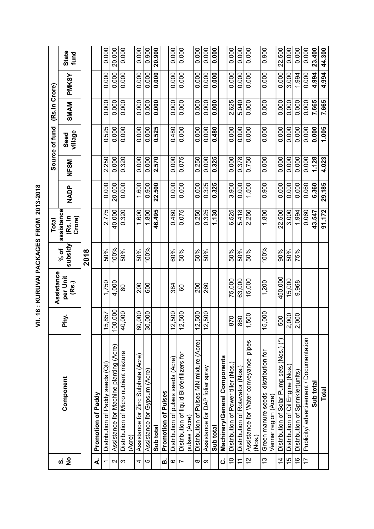| 12_2018<br>į<br>֧֧֢֖֧֧֚֚֚֚֚֚֓֓֓֓֓ <sub>֓</sub> |
|------------------------------------------------|
|                                                |
| ī<br>J                                         |
| Ž<br>"<br>"                                    |
|                                                |
| $\bar{z}$                                      |

|                          |                                                                |            |                                 |                 | <b>Total</b>                    |             |             | Source of fund  | (Rs.In Crore) |              |                      |
|--------------------------|----------------------------------------------------------------|------------|---------------------------------|-----------------|---------------------------------|-------------|-------------|-----------------|---------------|--------------|----------------------|
| ທ່ <mark>2</mark>        | Component                                                      | Phy.       | Assistance<br>per Unit<br>(Rs.) | subsidy<br>% of | assistance<br>(Rs. In<br>Crore) | <b>NADP</b> | <b>NESM</b> | village<br>Seed | SMAM          | <b>PMKSY</b> | <b>State</b><br>fund |
|                          |                                                                |            |                                 | 2018            |                                 |             |             |                 |               |              |                      |
| ∢                        | Promotion of Paddy                                             |            |                                 |                 |                                 |             |             |                 |               |              |                      |
| $\overline{\phantom{0}}$ | Distribution of Paddy seeds (Qtl)                              | 15,857     | 1,750                           | 50%             | 2.775                           | 0.000       | 2.250       | 0.525           | 0.000         | 0.000        | 0.000                |
| $\sim$                   | Assistance for Machine planting (Acre)                         | 100,000    | 4,000                           | 100%            | 40.000                          | 20,000      | 0.000       | 0.000           | 0.000         | 0.000        | 20,000               |
| ო                        | Distribution of Micro nutrient mixture<br>(Acre)               | 40,000     | 8                               | 50%             | 0.320                           | 0.000       | 0.320       | 0.000           | 0.000         | 0.000        | 0.000                |
| 4                        | Assistance for Zinc Sulphate (Acre)                            | 80,000     | 200                             | 50%             | 1.600                           | 1.600       | 0.000       | 0.000           | 0.000         | 0.000        | 0.000                |
| Ю                        | Assistance for Gypsum (Acre                                    | 30,000     | 600                             | 100%            | 1.800                           | 0.900       | 0.000       | 0.000           | 0.000         | 0.000        | 0.900                |
|                          | Sub total                                                      |            |                                 |                 | 46.495                          | 22.500      | 2.570       | 0.525           | 0.000         | 0.000        | 20.900               |
| ø                        | Promotion of Pulses                                            |            |                                 |                 |                                 |             |             |                 |               |              |                      |
| $\circ$                  | Distribution of pulses seeds (Acre)                            | 12,500     | 384                             | 60%             | 0.480                           | 0.000       | 0.000       | 0.480           | 0.000         | 0.000        | 0.000                |
| $\overline{ }$           | Distribution of liquid Biofertilizers for<br>pulses (Acre)     | 12,500     | 8                               | 50%             | 0.075                           | 0.000       | 0.075       | 0.000           | 0.000         | 0.000        | 0.000                |
| $\infty$                 | Distribution of Pulses MN mixture (Acre)                       | 12,500     | 200                             | 50%             | 0.250                           | 0.000       | 0.250       | 0.000           | 0.000         | 0.000        | 0.000                |
| $\infty$                 | Assistance for DAP foliar spray                                | 12,500     | 260                             | 50%             | 0.325                           | 0.325       | 0.000       | 0.000           | 0.000         | 0.000        | 0.000                |
|                          | Sub total                                                      |            |                                 |                 | 1.130                           | 0.325       | 0.325       | 0.480           | 0.000         | 0.000        | 0.000                |
| ن                        | Machinery/General Components                                   |            |                                 |                 |                                 |             |             |                 |               |              |                      |
| $\overline{0}$           | Distribution of Power tiller (Nos.)                            | 870        | 75,000                          | 50%             | 6.525                           | 3.900       | 0.000       | 0.000           | 2.625         | 0.000        | 0.000                |
| $\tilde{\tau}$           | Distribution of Rotavator (Nos.)                               | 860        | 63,000                          | 50%             | 5.418                           | 0.000       | 0.378       | 0.000           | 5.040         | 0.000        | 0.000                |
| 57                       | pipes<br>Assistance for Water conveyance<br>(Nos.)             | 500        | 15,000                          | 50%             | 2.250                           | 1.500       | 0.750       | 0.000           | 0.000         | 0.000        | 0.000                |
| 13                       | distribution for<br>Green manure seeds<br>Vennar region (Acre) | 15,000     | 1,200                           | 100%            | 1.800                           | 0.900       | 0.000       | 0.000           | 0.000         | 0.000        | 0.900                |
| $\overline{4}$           | Distribution of Solar Pump sets (Nos.) (*)                     | 500        | 450,000                         | 90%             | 22.500                          | 0.000       | 0.000       | 0.000           | 0.000         | 0.000        | 22.500               |
| $\frac{5}{1}$            | Distribution of Oil Engine (Nos.)                              | 000.       | 15,000                          | 50%             | 3.000                           | 0.000       | 0.000       | 0.000           | 0.000         | 3.000        | 0.000                |
| $\frac{6}{5}$            | Distribution of Sprinkler(units)                               | 000<br>∾ו∾ | 9,968                           | 75%             | 1.994                           | 0.000       | 0.000       | 0.000           | 0.000         | 1.994        | 0.000                |
| $\overline{1}$           | Publicity/advertisement / Documentation                        |            |                                 |                 | 0.060                           | 0.060       | 0.000       | 0.000           | 0.000         | 0.000        | 0.000                |
|                          | Sub total                                                      |            |                                 |                 | 43.547                          | 6.360       | 1.128       | 0.000           | 7.665         | 4.994        | 23.400               |
|                          | <b>Total</b>                                                   |            |                                 |                 | 91.172                          | 29.185      | 4.023       | 1.005           | 7.665         | 4.994        | 44.300               |